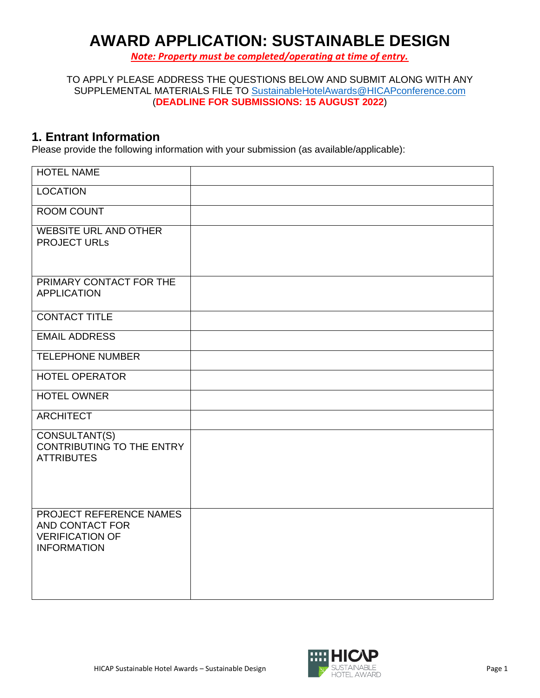# **AWARD APPLICATION: SUSTAINABLE DESIGN**

*Note: Property must be completed/operating at time of entry.*

TO APPLY PLEASE ADDRESS THE QUESTIONS BELOW AND SUBMIT ALONG WITH ANY SUPPLEMENTAL MATERIALS FILE TO [SustainableHotelAwards@HICAPconference.com](mailto:SustainableHotelAwards@HICAPconference.com) (**DEADLINE FOR SUBMISSIONS: 15 AUGUST 2022**)

#### **1. Entrant Information**

Please provide the following information with your submission (as available/applicable):

| <b>HOTEL NAME</b>                                                                          |  |
|--------------------------------------------------------------------------------------------|--|
| <b>LOCATION</b>                                                                            |  |
| <b>ROOM COUNT</b>                                                                          |  |
| <b>WEBSITE URL AND OTHER</b><br><b>PROJECT URLS</b>                                        |  |
| PRIMARY CONTACT FOR THE<br><b>APPLICATION</b>                                              |  |
| <b>CONTACT TITLE</b>                                                                       |  |
| <b>EMAIL ADDRESS</b>                                                                       |  |
| <b>TELEPHONE NUMBER</b>                                                                    |  |
| <b>HOTEL OPERATOR</b>                                                                      |  |
| <b>HOTEL OWNER</b>                                                                         |  |
| <b>ARCHITECT</b>                                                                           |  |
| CONSULTANT(S)<br><b>CONTRIBUTING TO THE ENTRY</b><br><b>ATTRIBUTES</b>                     |  |
| PROJECT REFERENCE NAMES<br>AND CONTACT FOR<br><b>VERIFICATION OF</b><br><b>INFORMATION</b> |  |

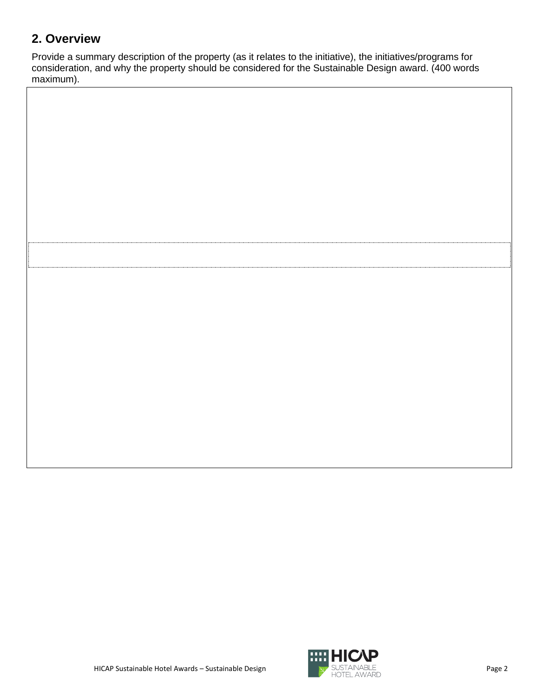# **2. Overview**

Provide a summary description of the property (as it relates to the initiative), the initiatives/programs for consideration, and why the property should be considered for the Sustainable Design award. (400 words maximum).

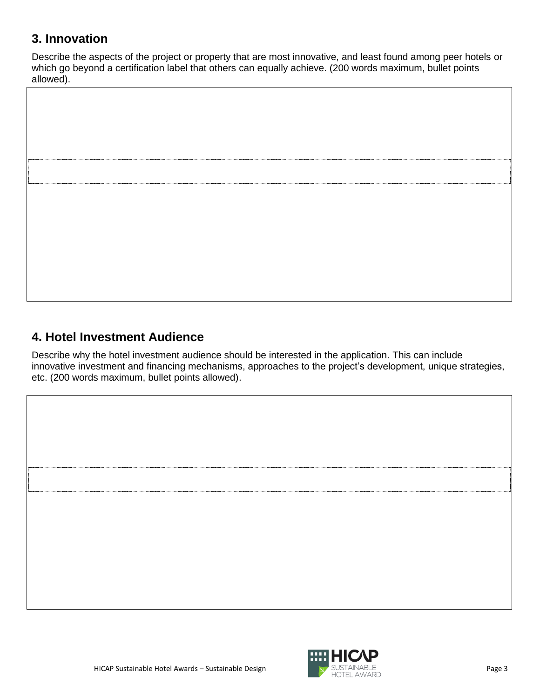### **3. Innovation**

Describe the aspects of the project or property that are most innovative, and least found among peer hotels or which go beyond a certification label that others can equally achieve. (200 words maximum, bullet points allowed).

# **4. Hotel Investment Audience**

Describe why the hotel investment audience should be interested in the application. This can include innovative investment and financing mechanisms, approaches to the project's development, unique strategies, etc. (200 words maximum, bullet points allowed).



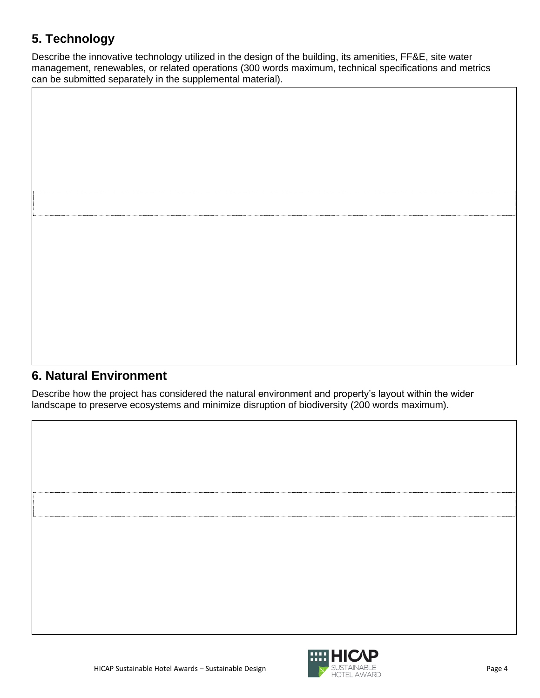# **5. Technology**

Describe the innovative technology utilized in the design of the building, its amenities, FF&E, site water management, renewables, or related operations (300 words maximum, technical specifications and metrics can be submitted separately in the supplemental material).



#### **6. Natural Environment**

Describe how the project has considered the natural environment and property's layout within the wider landscape to preserve ecosystems and minimize disruption of biodiversity (200 words maximum).

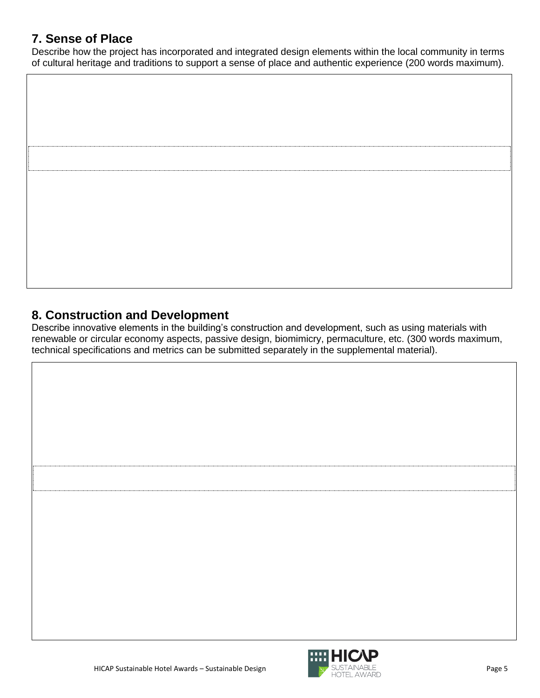#### **7. Sense of Place**

Describe how the project has incorporated and integrated design elements within the local community in terms of cultural heritage and traditions to support a sense of place and authentic experience (200 words maximum).



#### **8. Construction and Development**

Describe innovative elements in the building's construction and development, such as using materials with renewable or circular economy aspects, passive design, biomimicry, permaculture, etc. (300 words maximum, technical specifications and metrics can be submitted separately in the supplemental material).



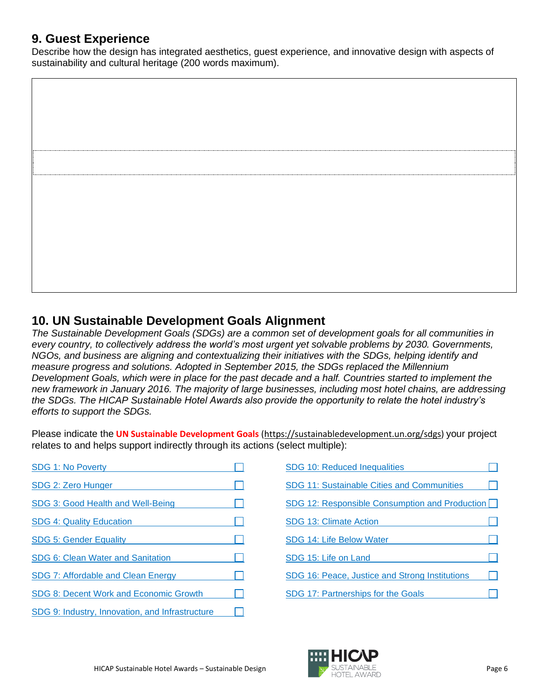#### **9. Guest Experience**

Describe how the design has integrated aesthetics, guest experience, and innovative design with aspects of sustainability and cultural heritage (200 words maximum).

#### **10. UN Sustainable Development Goals Alignment**

*The Sustainable Development Goals (SDGs) are a common set of development goals for all communities in every country, to collectively address the world's most urgent yet solvable problems by 2030. Governments, NGOs, and business are aligning and contextualizing their initiatives with the SDGs, helping identify and measure progress and solutions. Adopted in September 2015, the SDGs replaced the Millennium Development Goals, which were in place for the past decade and a half. Countries started to implement the new framework in January 2016. The majority of large businesses, including most hotel chains, are addressing the SDGs. The HICAP Sustainable Hotel Awards also provide the opportunity to relate the hotel industry's efforts to support the SDGs.*

Please indicate the **UN Sustainable Development Goals** [\(https://sustainabledevelopment.un.org/sdgs\)](https://sustainabledevelopment.un.org/sdgs) your project relates to and helps support indirectly through its actions (select multiple):

| SDG 1: No Poverty                               |  |
|-------------------------------------------------|--|
| SDG 2: Zero Hunger                              |  |
| SDG 3: Good Health and Well-Being               |  |
| <b>SDG 4: Quality Education</b>                 |  |
| <b>SDG 5: Gender Equality</b>                   |  |
| SDG 6: Clean Water and Sanitation               |  |
| SDG 7: Affordable and Clean Energy              |  |
| SDG 8: Decent Work and Economic Growth          |  |
| SDG 9: Industry, Innovation, and Infrastructure |  |

| SDG 10: Reduced Inequalities                   |  |
|------------------------------------------------|--|
| SDG 11: Sustainable Cities and Communities     |  |
| SDG 12: Responsible Consumption and Production |  |
| SDG 13: Climate Action                         |  |
| SDG 14: Life Below Water                       |  |
| SDG 15: Life on Land                           |  |
| SDG 16: Peace, Justice and Strong Institutions |  |
| SDG 17: Partnerships for the Goals             |  |